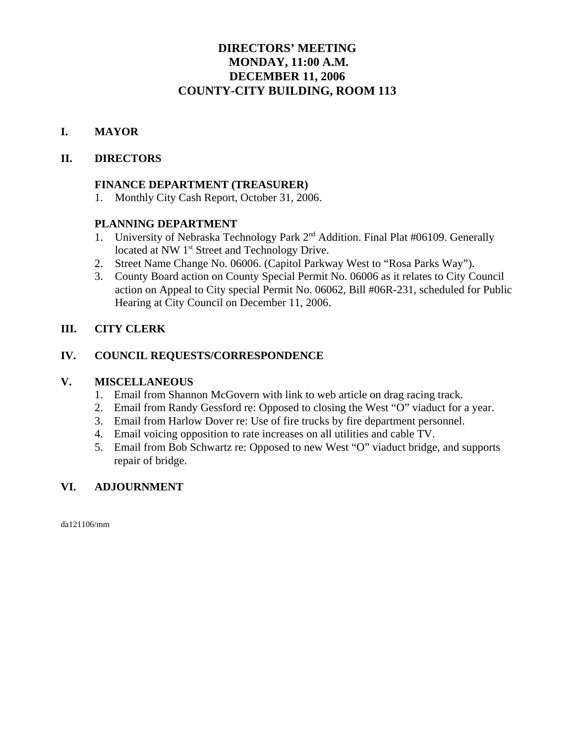# **DIRECTORS' MEETING MONDAY, 11:00 A.M. DECEMBER 11, 2006 COUNTY-CITY BUILDING, ROOM 113**

# **I. MAYOR**

## **II. DIRECTORS**

## **FINANCE DEPARTMENT (TREASURER)**

1. Monthly City Cash Report, October 31, 2006.

## **PLANNING DEPARTMENT**

- 1. University of Nebraska Technology Park 2<sup>nd</sup> Addition. Final Plat #06109. Generally located at NW 1<sup>st</sup> Street and Technology Drive.
- 2. Street Name Change No. 06006. (Capitol Parkway West to "Rosa Parks Way").
- 3. County Board action on County Special Permit No. 06006 as it relates to City Council action on Appeal to City special Permit No. 06062, Bill #06R-231, scheduled for Public Hearing at City Council on December 11, 2006.

## **III. CITY CLERK**

## **IV. COUNCIL REQUESTS/CORRESPONDENCE**

#### **V. MISCELLANEOUS**

- 1. Email from Shannon McGovern with link to web article on drag racing track.
- 2. Email from Randy Gessford re: Opposed to closing the West "O" viaduct for a year.
- 3. Email from Harlow Dover re: Use of fire trucks by fire department personnel.
- 4. Email voicing opposition to rate increases on all utilities and cable TV.
- 5. Email from Bob Schwartz re: Opposed to new West "O" viaduct bridge, and supports repair of bridge.

## **VI. ADJOURNMENT**

da121106/mm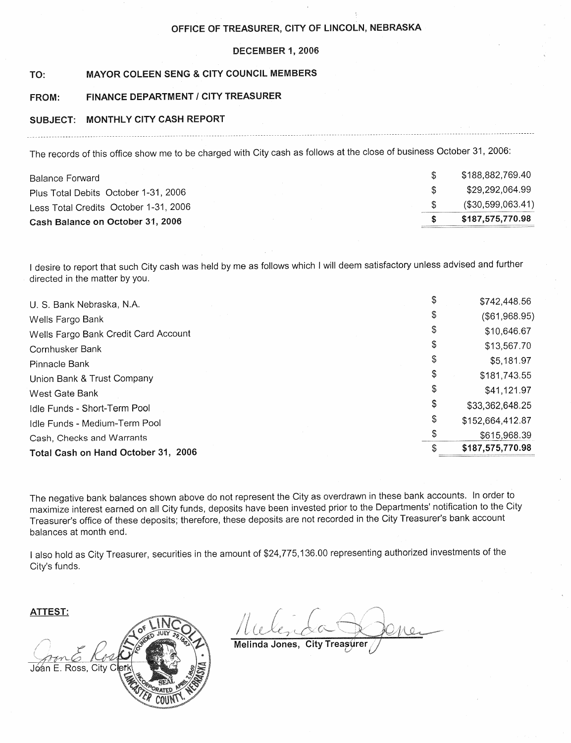#### OFFICE OF TREASURER, CITY OF LINCOLN, NEBRASKA

#### DECEMBER 1, 2006

#### TO: MAYOR COLEEN SENG & CITY COUNCIL MEMBERS

#### **FINANCE DEPARTMENT / CITY TREASURER** FROM:

#### SUBJECT: MONTHLY CITY CASH REPORT

The records of this office show me to be charged with City cash as follows at the close of business October 31, 2006:

| Balance Forward                       | \$188.882.769.40     |
|---------------------------------------|----------------------|
| Plus Total Debits October 1-31, 2006  | \$29.292.064.99      |
| Less Total Credits October 1-31, 2006 | $($ \$30,599,063.41) |
| Cash Balance on October 31, 2006      | \$187.575,770.98     |

I desire to report that such City cash was held by me as follows which I will deem satisfactory unless advised and further directed in the matter by you.

| U. S. Bank Nebraska, N.A.            | \$742,448.56           |
|--------------------------------------|------------------------|
| Wells Fargo Bank                     | \$<br>$($ \$61,968.95) |
| Wells Fargo Bank Credit Card Account | \$<br>\$10,646.67      |
| Cornhusker Bank                      | \$<br>\$13,567.70      |
| Pinnacle Bank                        | \$<br>\$5,181.97       |
| Union Bank & Trust Company           | \$<br>\$181,743.55     |
| West Gate Bank                       | \$<br>\$41,121.97      |
| Idle Funds - Short-Term Pool         | \$<br>\$33,362,648.25  |
| Idle Funds - Medium-Term Pool        | \$<br>\$152,664,412.87 |
| Cash, Checks and Warrants            | \$<br>\$615,968.39     |
| Total Cash on Hand October 31, 2006  | \$187,575,770.98       |
|                                      |                        |

The negative bank balances shown above do not represent the City as overdrawn in these bank accounts. In order to maximize interest earned on all City funds, deposits have been invested prior to the Departments' notification to the City Treasurer's office of these deposits; therefore, these deposits are not recorded in the City Treasurer's bank account balances at month end.

I also hold as City Treasurer, securities in the amount of \$24,775,136.00 representing authorized investments of the City's funds.

ATTEST:



Melinda Jones, **City Treasurer**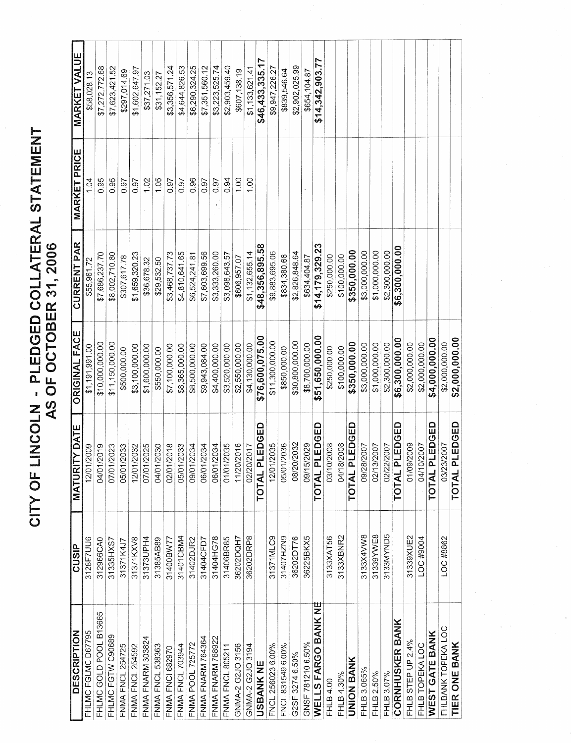| IATEDAI CTATE<br>TUNGUS<br>j | $\begin{bmatrix} 1 \\ 2 \\ 3 \\ 4 \end{bmatrix}$<br>AS OF OCTOBER 31<br>ڶ<br>כ |
|------------------------------|--------------------------------------------------------------------------------|
| $\frac{1}{2}$<br>ļ           |                                                                                |

| <b>DESCRIPTION</b>      | <b>CUSIP</b> | <b>MATURITY DATE</b>     | <b>ORIGINAL FACE</b> | <b>CURRENT PAR</b> | <b>MARKET PRICE</b> | MARKET VALUE    |
|-------------------------|--------------|--------------------------|----------------------|--------------------|---------------------|-----------------|
| FHLMC FGLMC D67795      | 3128F7UU6    | 12/01/2009               | \$1,191,991.00       | \$55,961.72        | 1.04                | \$58,028.13     |
| FHLMC GOLD POOL B13665  | 312966CA0    | 04/01/2019               | \$10,000,000.00      | \$7,686,237.70     | 0.95                | \$7,272,772.68  |
| FHLMC FGTW C90689       | 31335HXS7    | 07/01/2023               | \$11,150,000.00      | \$8,002,710.80     | 0.95                | \$7,623,421.52  |
| FNMA FNCL 254725        | 31371K4J7    | 05/01/2033               | \$500,000.00         | \$307,617.78       | 0.97                | \$297,014.69    |
| FNMA FNCL 254592        | 31371KXV8    | 12/01/2032               | \$3,100,000.00       | \$1,659,320.23     | 0.97                | \$1,602,647.97  |
| FNMA FNARM 303824       | 31373UPH4    | 07/01/2025               | \$1,600,000.00       | \$36,678.32        | 1.02                | \$37,271.03     |
| FNMA FNCL 538363        | 31385AB89    | 04/01/2030               | \$550,000.00         | \$29,532.50        | 1,05                | \$31,152.27     |
| <b>FNMA FNCI 682970</b> | 31400BW77    | 02/01/2018               | \$7,100,000.00       | \$3,468,737.73     | 0.97                | \$3,356,571.24  |
| FNMA FNCL 703944        | 31401CBM4    | 05/01/2033               | \$8,365,000.00       | \$4,810,641.65     | 0.97                | \$4,644,826.53  |
| <b>FNMA POOL 725772</b> | 31402DJR2    | 09/01/2034               | \$8,500,000.00       | \$6,524,241.81     | 0.96                | \$6,290,324.25  |
| FNMA FNARM 764364       | 31404CFD7    | 06/01/2034               | \$9,943,084.00       | \$7,603,699.56     | 0.97                | \$7,351,560.12  |
| FNMA FNARM 768922       | 31404HG78    | 06/01/2034               | \$4,400,000.00       | \$3,333,260.00     | 0.97                | \$3,223,525.74  |
| FNMA FNCL 805211        | 31406BR85    | 01/01/2035               | \$3,520,000.00       | \$3,098,643.57     | 0.94                | \$2,903,459.40  |
| GNMA-2 G2JO 3156        | 36202DQH7    | 11/20/2016               | \$2,550,000.00       | \$606,957.07       | 00 <sub>1</sub>     | \$607,138.19    |
| GNMA-2 G2JO 3194        | 36202DRP8    | 02/20/2017               | \$4,130,000.00       | \$1,132,655.14     | 00.1                | \$1,133,621.41  |
| <b>USBANK NE</b>        |              | TOTAL PLEDGED            | \$76,600,075.00      | \$48,356,895.58    |                     | \$46,433,335.1  |
| FNCL 256023 6.00%       | 31371MLC9    | 12/01/2035               | \$11,300,000.00      | \$9,883,695.06     |                     | \$9,947,226.2   |
| FNCL 831549 6.00%       | 31407HZN9    | 05/01/2036               | \$850,000.00         | \$834,380.66       |                     | \$839,546.64    |
| G2SF 3274 6.50%         | 36202DT76    | 08/20/2032               | \$30,800,000.00      | \$2,826,848.64     |                     | \$2,902,025.99  |
| GNSF 781210 6.50%       | 36225BKX5    | 09/15/2029               | \$8,700,000.00       | \$634,404.87       |                     | \$654,104.87    |
| WELLS FARGO BANK NE     |              | TOTAL PLEDGED            | \$51,650,000.00      | \$14,179,329.23    |                     | \$14,342,903.77 |
| FHLB 4.00               | 3133XAT56    | 03/10/2008               | \$250,000.00         | \$250,000.00       |                     |                 |
| FHLB 4.30%              | 3133XBNR2    | 04/18/2008               | \$100,000.00         | \$100,000.00       |                     |                 |
| <b>UNION BANK</b>       |              | TOTAL PLEDGED            | \$350,000.00         | \$350,000.00       |                     |                 |
| FHLB 3.065%             | 3133X4VW8    | 09/28/2007               | \$3,000,000.00       | \$3,000,000.00     |                     |                 |
| FHLB 2.50%              | 31339YWE8    | 02/13/2007               | \$1,000,000.00       | \$1,000,000.00     |                     |                 |
| FHLB 3.07%              | 3133MYND5    | 02/22/2007               | \$2,300,000.00       | \$2,300,000.00     |                     |                 |
| <b>CORNHUSKER BANK</b>  |              | TOTAL PLEDGED            | \$6,300,000.00       | \$6,300,000.00     |                     |                 |
| FHLB STEP UP 2.4%       | 31339XUE2    | 01/09/2009               | \$2,000,000.00       |                    |                     |                 |
| FHLB TOPEKA LOC         | LOC #9004    | 04/10/2007               | \$2,000,000.00       |                    |                     |                 |
| WEST GATE BANK          |              | LPLEDGED<br><b>TOTAL</b> | \$4,000,000.00       |                    |                     |                 |
| FHLBANK TOPEKA LOC      | LOC #8862    | 03/23/2007               | \$2,000,000.00       |                    |                     |                 |
| TIER ONE BANK           |              | TOTAL PLEDGED            | \$2,000,000.00       |                    |                     |                 |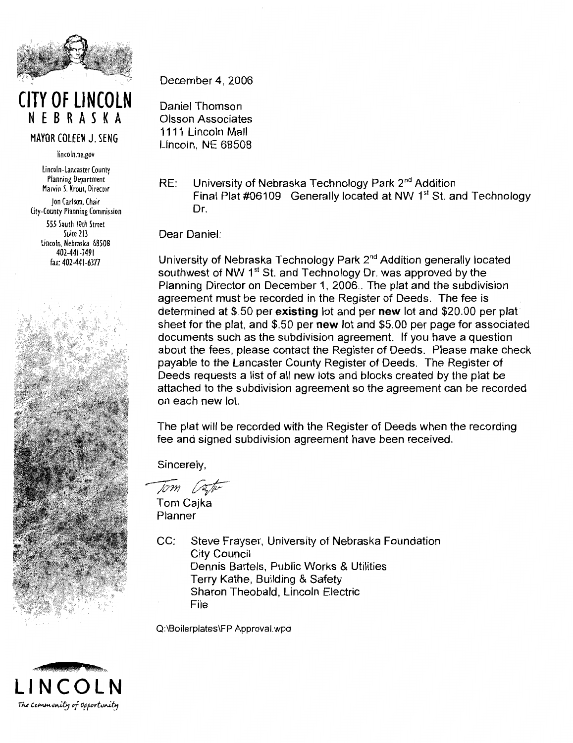

**CITY OF LINCOLN** NEBRASKA

MAYOR COLEEN J. SENG

lincoln.ne.gov

Lincoln-Lancaster County **Planning Department** Marvin S. Krout. Director Ion Carlson, Chair City-County Planning Commission 555 South 10th Street Suite 213 Lincoln, Nebraska 68508 402-441-7491 fax: 402-441-6377



December 4, 2006

Daniel Thomson Olsson Associates 1111 Lincoln Mall Lincoln, NE 68508

University of Nebraska Technology Park 2<sup>nd</sup> Addition RE: Final Plat #06109 Generally located at NW 1<sup>st</sup> St. and Technology Dr

Dear Daniel:

University of Nebraska Technology Park 2<sup>nd</sup> Addition generally located southwest of NW 1<sup>st</sup> St. and Technology Dr. was approved by the Planning Director on December 1, 2006.. The plat and the subdivision agreement must be recorded in the Register of Deeds. The fee is determined at \$.50 per existing lot and per new lot and \$20.00 per plat sheet for the plat, and \$.50 per new lot and \$5.00 per page for associated documents such as the subdivision agreement. If you have a question about the fees, please contact the Register of Deeds. Please make check payable to the Lancaster County Register of Deeds. The Register of Deeds requests a list of all new lots and blocks created by the plat be attached to the subdivision agreement so the agreement can be recorded on each new lot.

The plat will be recorded with the Register of Deeds when the recording fee and signed subdivision agreement have been received.

Sincerely,

Tom Vate Tom Cajka

Planner

 $CC<sup>2</sup>$ Steve Frayser, University of Nebraska Foundation **City Council** Dennis Bartels, Public Works & Utilities Terry Kathe, Building & Safety Sharon Theobald, Lincoln Electric File

Q:\Boilerplates\FP Approval.wpd

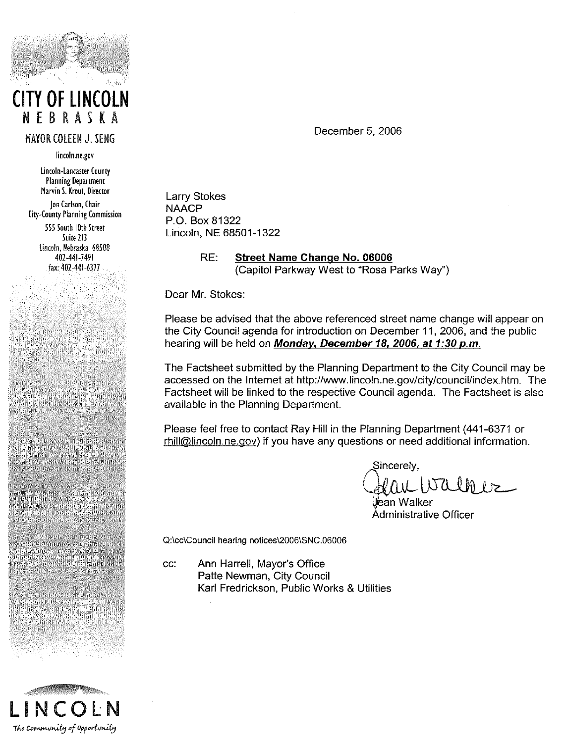

# **CITY OF LINCOLN** NEBRASKA

#### **MAYOR COLEEN J. SENG**

lincoln.ne.gov

Lincoln-Lancaster County **Planning Department** Marvin S. Krout, Director Ion Carlson, Chair **City-County Planning Commission** 555 South 10th Street Suite 213

Lincoln, Nebraska 68508 402-441-7491 fax: 402-441-6377

December 5, 2006

**Larry Stokes NAACP** P.O. Box 81322 Lincoln, NE 68501-1322

> RE: Street Name Change No. 06006 (Capitol Parkway West to "Rosa Parks Way")

Dear Mr. Stokes:

Please be advised that the above referenced street name change will appear on the City Council agenda for introduction on December 11, 2006, and the public hearing will be held on Monday, December 18, 2006, at 1:30 p.m.

The Factsheet submitted by the Planning Department to the City Council may be accessed on the Internet at http://www.lincoln.ne.gov/city/council/index.htm. The Factsheet will be linked to the respective Council agenda. The Factsheet is also available in the Planning Department.

Please feel free to contact Ray Hill in the Planning Department (441-6371 or rhill@lincoln.ne.gov) if you have any questions or need additional information.

Sincerelv. ALLIVALLE

ean Walker Administrative Officer

Q:\cc\Council hearing notices\2006\SNC.06006

CC: Ann Harrell, Mayor's Office Patte Newman, City Council Karl Fredrickson, Public Works & Utilities

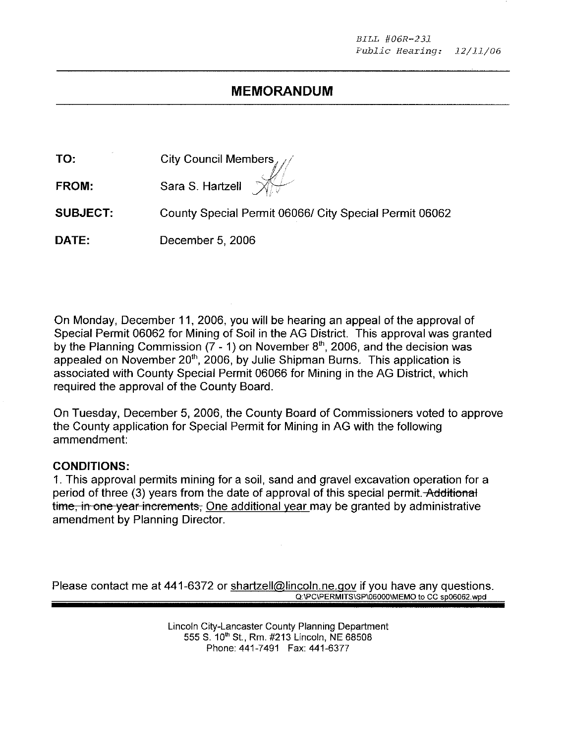# **MEMORANDUM**

| TO:             | City Council Members $\mathcal{N}$                     |
|-----------------|--------------------------------------------------------|
| FROM:           | Sara S. Hartzell $\mathbb{X}$                          |
| <b>SUBJECT:</b> | County Special Permit 06066/ City Special Permit 06062 |
| DATE:           | December 5, 2006                                       |

On Monday, December 11, 2006, you will be hearing an appeal of the approval of Special Permit 06062 for Mining of Soil in the AG District. This approval was granted by the Planning Commission  $(7 - 1)$  on November 8<sup>th</sup>, 2006, and the decision was appealed on November 20<sup>th</sup>, 2006, by Julie Shipman Burns. This application is associated with County Special Permit 06066 for Mining in the AG District, which required the approval of the County Board.

On Tuesday, December 5, 2006, the County Board of Commissioners voted to approve the County application for Special Permit for Mining in AG with the following ammendment:

#### **CONDITIONS:**

1. This approval permits mining for a soil, sand and gravel excavation operation for a period of three (3) years from the date of approval of this special permit. Additional time, in one year increments, One additional year may be granted by administrative amendment by Planning Director.

Please contact me at 441-6372 or shartzell@lincoln.ne.gov if you have any questions. Q:\PC\PERMITS\SP\06000\MEMO to CC sp06062.wpd

> Lincoln City-Lancaster County Planning Department 555 S. 10<sup>th</sup> St., Rm. #213 Lincoln, NE 68508 Phone: 441-7491 Fax: 441-6377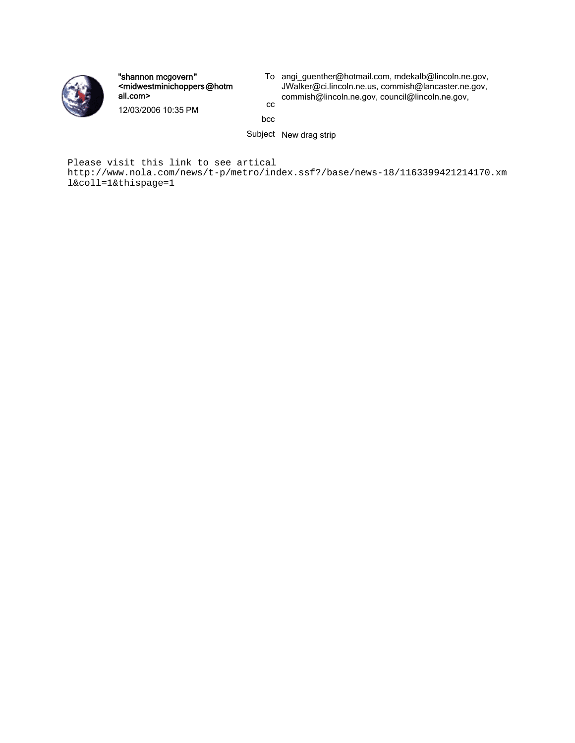

"shannon mcgovern" <midwestminichoppers@hotm ail.com>

To angi\_guenther@hotmail.com, mdekalb@lincoln.ne.gov, JWalker@ci.lincoln.ne.us, commish@lancaster.ne.gov, commish@lincoln.ne.gov, council@lincoln.ne.gov, cc

12/03/2006 10:35 PM

bcc

Subject New drag strip

Please visit this link to see artical

http://www.nola.com/news/t-p/metro/index.ssf?/base/news-18/1163399421214170.xm l&coll=1&thispage=1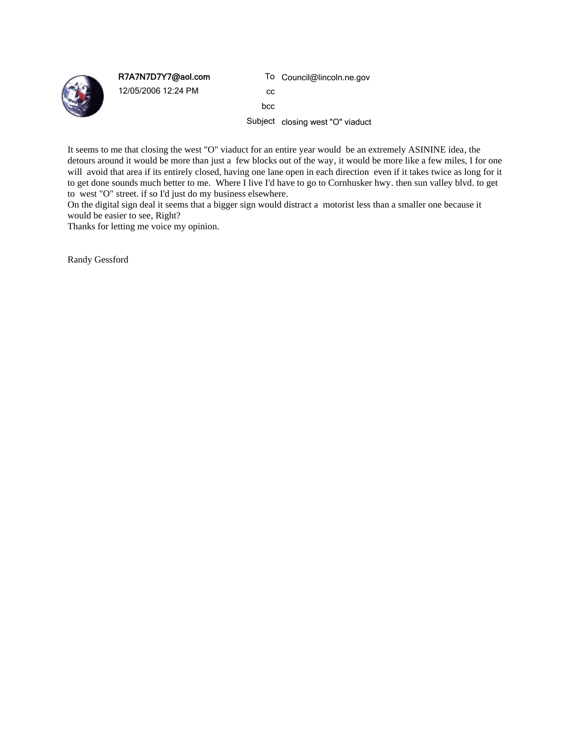

R7A7N7D7Y7@aol.com

12/05/2006 12:24 PM

To Council@lincoln.ne.gov

cc bcc

Subject closing west "O" viaduct

It seems to me that closing the west "O" viaduct for an entire year would be an extremely ASININE idea, the detours around it would be more than just a few blocks out of the way, it would be more like a few miles, I for one will avoid that area if its entirely closed, having one lane open in each direction even if it takes twice as long for it to get done sounds much better to me. Where I live I'd have to go to Cornhusker hwy. then sun valley blvd. to get to west "O" street. if so I'd just do my business elsewhere.

On the digital sign deal it seems that a bigger sign would distract a motorist less than a smaller one because it would be easier to see, Right?

Thanks for letting me voice my opinion.

Randy Gessford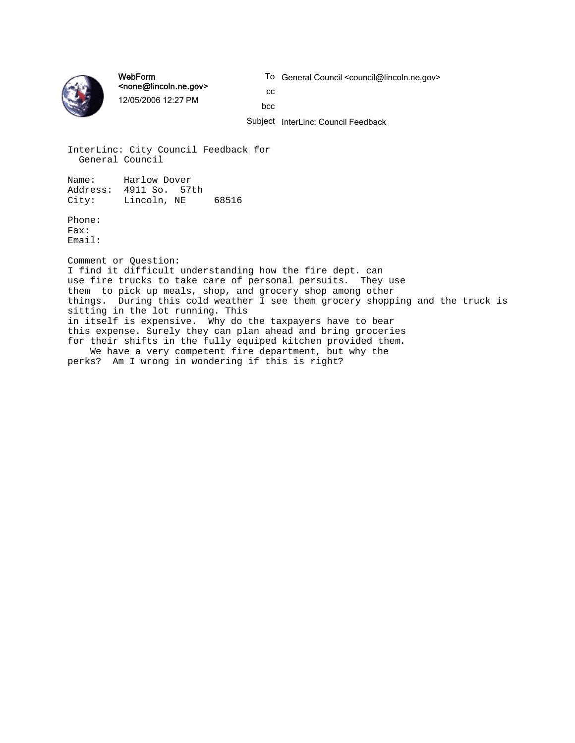

WebForm <none@lincoln.ne.gov> 12/05/2006 12:27 PM

To General Council <council@lincoln.ne.gov>

cc bcc

Subject InterLinc: Council Feedback

InterLinc: City Council Feedback for General Council

Name: Harlow Dover Address: 4911 So. 57th City: Lincoln, NE 68516

Phone: Fax: Email:

Comment or Question: I find it difficult understanding how the fire dept. can use fire trucks to take care of personal persuits. They use them to pick up meals, shop, and grocery shop among other things. During this cold weather I see them grocery shopping and the truck is sitting in the lot running. This in itself is expensive. Why do the taxpayers have to bear this expense. Surely they can plan ahead and bring groceries for their shifts in the fully equiped kitchen provided them. We have a very competent fire department, but why the

perks? Am I wrong in wondering if this is right?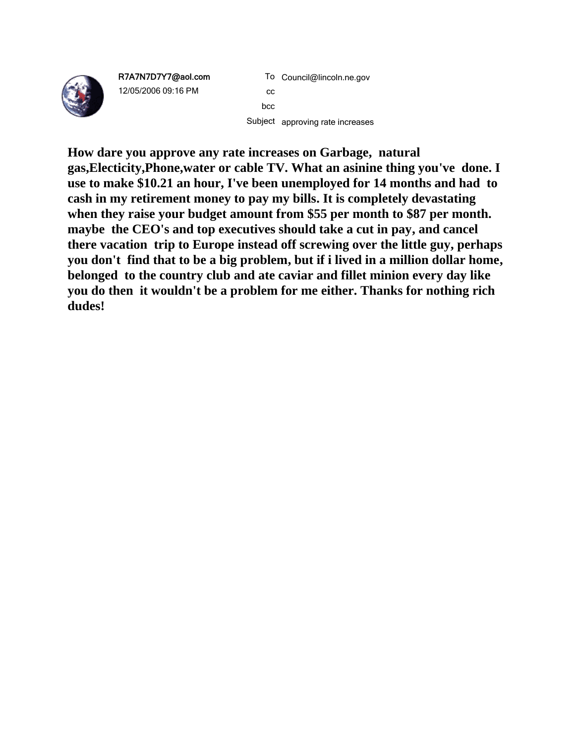

R7A7N7D7Y7@aol.com 12/05/2006 09:16 PM

To Council@lincoln.ne.gov cc bcc Subject approving rate increases

**How dare you approve any rate increases on Garbage, natural gas,Electicity,Phone,water or cable TV. What an asinine thing you've done. I use to make \$10.21 an hour, I've been unemployed for 14 months and had to cash in my retirement money to pay my bills. It is completely devastating**  when they raise your budget amount from \$55 per month to \$87 per month. **maybe the CEO's and top executives should take a cut in pay, and cancel there vacation trip to Europe instead off screwing over the little guy, perhaps you don't find that to be a big problem, but if i lived in a million dollar home, belonged to the country club and ate caviar and fillet minion every day like you do then it wouldn't be a problem for me either. Thanks for nothing rich dudes!**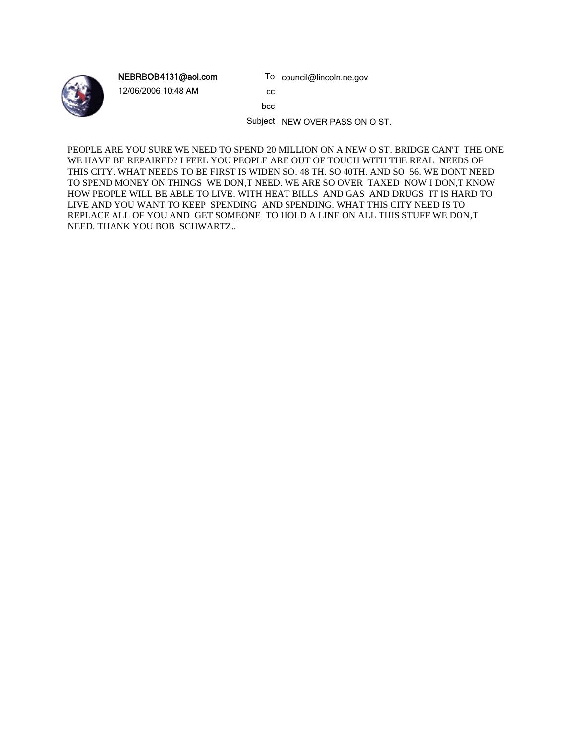

NEBRBOB4131@aol.com

12/06/2006 10:48 AM

cc

bcc

Subject NEW OVER PASS ON O ST.

To council@lincoln.ne.gov

PEOPLE ARE YOU SURE WE NEED TO SPEND 20 MILLION ON A NEW O ST. BRIDGE CAN'T THE ONE WE HAVE BE REPAIRED? I FEEL YOU PEOPLE ARE OUT OF TOUCH WITH THE REAL NEEDS OF THIS CITY. WHAT NEEDS TO BE FIRST IS WIDEN SO. 48 TH. SO 40TH. AND SO 56. WE DONT NEED TO SPEND MONEY ON THINGS WE DON,T NEED. WE ARE SO OVER TAXED NOW I DON,T KNOW HOW PEOPLE WILL BE ABLE TO LIVE. WITH HEAT BILLS AND GAS AND DRUGS IT IS HARD TO LIVE AND YOU WANT TO KEEP SPENDING AND SPENDING. WHAT THIS CITY NEED IS TO REPLACE ALL OF YOU AND GET SOMEONE TO HOLD A LINE ON ALL THIS STUFF WE DON,T NEED. THANK YOU BOB SCHWARTZ..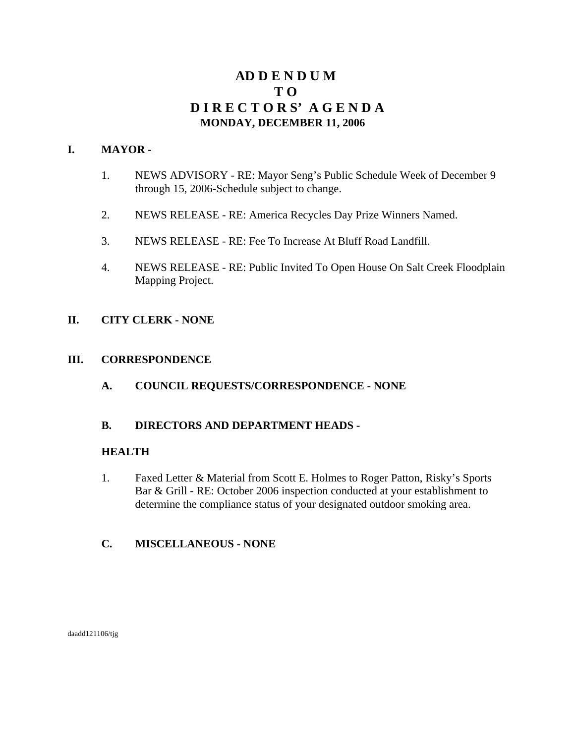# **AD D E N D U M T O D I R E C T O R S' A G E N D A MONDAY, DECEMBER 11, 2006**

#### **I. MAYOR -**

- 1. NEWS ADVISORY RE: Mayor Seng's Public Schedule Week of December 9 through 15, 2006-Schedule subject to change.
- 2. NEWS RELEASE RE: America Recycles Day Prize Winners Named.
- 3. NEWS RELEASE RE: Fee To Increase At Bluff Road Landfill.
- 4. NEWS RELEASE RE: Public Invited To Open House On Salt Creek Floodplain Mapping Project.

## **II. CITY CLERK - NONE**

#### **III. CORRESPONDENCE**

**A. COUNCIL REQUESTS/CORRESPONDENCE - NONE**

## **B. DIRECTORS AND DEPARTMENT HEADS -**

#### **HEALTH**

- 1. Faxed Letter & Material from Scott E. Holmes to Roger Patton, Risky's Sports Bar & Grill - RE: October 2006 inspection conducted at your establishment to determine the compliance status of your designated outdoor smoking area.
- **C. MISCELLANEOUS NONE**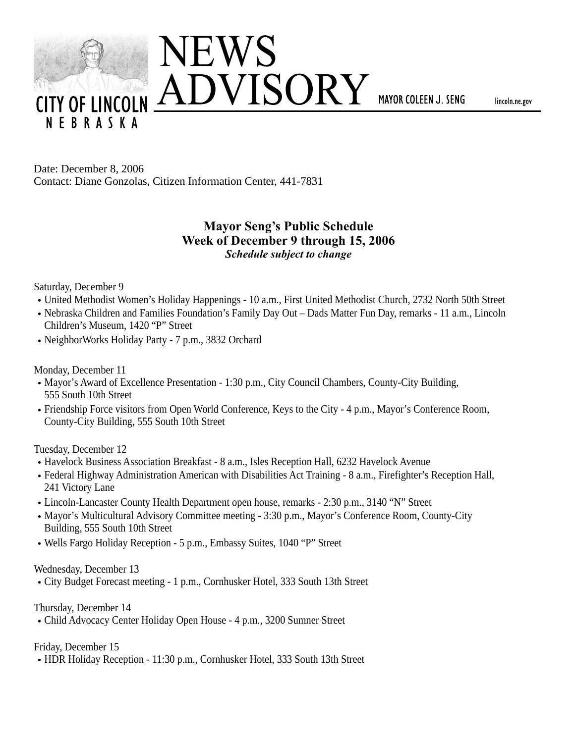

lincoln.ne.gov

Date: December 8, 2006 Contact: Diane Gonzolas, Citizen Information Center, 441-7831

# **Mayor Seng's Public Schedule Week of December 9 through 15, 2006** *Schedule subject to change*

Saturday, December 9

- United Methodist Women's Holiday Happenings 10 a.m., First United Methodist Church, 2732 North 50th Street
- Nebraska Children and Families Foundation's Family Day Out Dads Matter Fun Day, remarks 11 a.m., Lincoln Children's Museum, 1420 "P" Street
- NeighborWorks Holiday Party 7 p.m., 3832 Orchard

Monday, December 11

- Mayor's Award of Excellence Presentation 1:30 p.m., City Council Chambers, County-City Building, 555 South 10th Street
- Friendship Force visitors from Open World Conference, Keys to the City 4 p.m., Mayor's Conference Room, County-City Building, 555 South 10th Street

Tuesday, December 12

- Havelock Business Association Breakfast 8 a.m., Isles Reception Hall, 6232 Havelock Avenue
- Federal Highway Administration American with Disabilities Act Training 8 a.m., Firefighter's Reception Hall, 241 Victory Lane
- Lincoln-Lancaster County Health Department open house, remarks 2:30 p.m., 3140 "N" Street
- Mayor's Multicultural Advisory Committee meeting 3:30 p.m., Mayor's Conference Room, County-City Building, 555 South 10th Street
- Wells Fargo Holiday Reception 5 p.m., Embassy Suites, 1040 "P" Street

Wednesday, December 13

City Budget Forecast meeting - 1 p.m., Cornhusker Hotel, 333 South 13th Street

Thursday, December 14

Child Advocacy Center Holiday Open House - 4 p.m., 3200 Sumner Street

Friday, December 15

• HDR Holiday Reception - 11:30 p.m., Cornhusker Hotel, 333 South 13th Street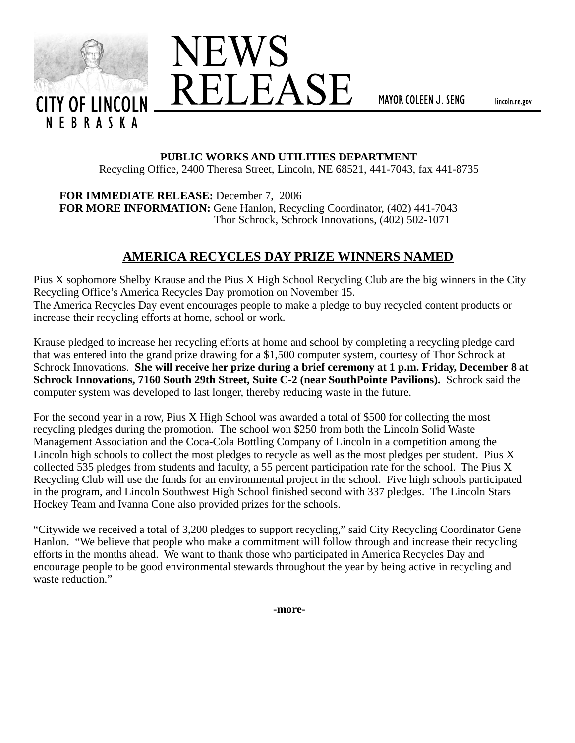



MAYOR COLEEN J. SENG

lincoln.ne.gov

## **PUBLIC WORKS AND UTILITIES DEPARTMENT**

Recycling Office, 2400 Theresa Street, Lincoln, NE 68521, 441-7043, fax 441-8735

**FOR IMMEDIATE RELEASE:** December 7, 2006 **FOR MORE INFORMATION:** Gene Hanlon, Recycling Coordinator, (402) 441-7043 Thor Schrock, Schrock Innovations, (402) 502-1071

# **AMERICA RECYCLES DAY PRIZE WINNERS NAMED**

Pius X sophomore Shelby Krause and the Pius X High School Recycling Club are the big winners in the City Recycling Office's America Recycles Day promotion on November 15. The America Recycles Day event encourages people to make a pledge to buy recycled content products or increase their recycling efforts at home, school or work.

Krause pledged to increase her recycling efforts at home and school by completing a recycling pledge card that was entered into the grand prize drawing for a \$1,500 computer system, courtesy of Thor Schrock at Schrock Innovations. **She will receive her prize during a brief ceremony at 1 p.m. Friday, December 8 at Schrock Innovations, 7160 South 29th Street, Suite C-2 (near SouthPointe Pavilions).** Schrock said the computer system was developed to last longer, thereby reducing waste in the future.

For the second year in a row, Pius X High School was awarded a total of \$500 for collecting the most recycling pledges during the promotion. The school won \$250 from both the Lincoln Solid Waste Management Association and the Coca-Cola Bottling Company of Lincoln in a competition among the Lincoln high schools to collect the most pledges to recycle as well as the most pledges per student. Pius X collected 535 pledges from students and faculty, a 55 percent participation rate for the school. The Pius X Recycling Club will use the funds for an environmental project in the school. Five high schools participated in the program, and Lincoln Southwest High School finished second with 337 pledges. The Lincoln Stars Hockey Team and Ivanna Cone also provided prizes for the schools.

"Citywide we received a total of 3,200 pledges to support recycling," said City Recycling Coordinator Gene Hanlon. "We believe that people who make a commitment will follow through and increase their recycling efforts in the months ahead. We want to thank those who participated in America Recycles Day and encourage people to be good environmental stewards throughout the year by being active in recycling and waste reduction."

**-more-**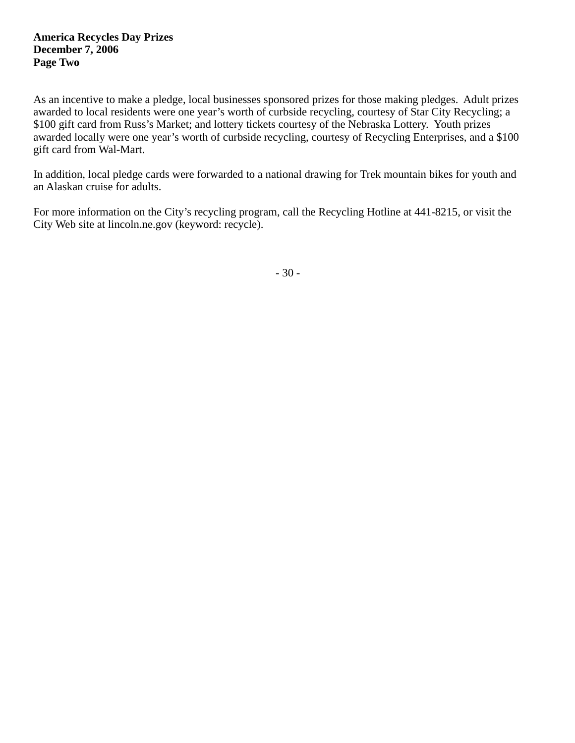#### **America Recycles Day Prizes December 7, 2006 Page Two**

As an incentive to make a pledge, local businesses sponsored prizes for those making pledges. Adult prizes awarded to local residents were one year's worth of curbside recycling, courtesy of Star City Recycling; a \$100 gift card from Russ's Market; and lottery tickets courtesy of the Nebraska Lottery. Youth prizes awarded locally were one year's worth of curbside recycling, courtesy of Recycling Enterprises, and a \$100 gift card from Wal-Mart.

In addition, local pledge cards were forwarded to a national drawing for Trek mountain bikes for youth and an Alaskan cruise for adults.

For more information on the City's recycling program, call the Recycling Hotline at 441-8215, or visit the City Web site at lincoln.ne.gov (keyword: recycle).

- 30 -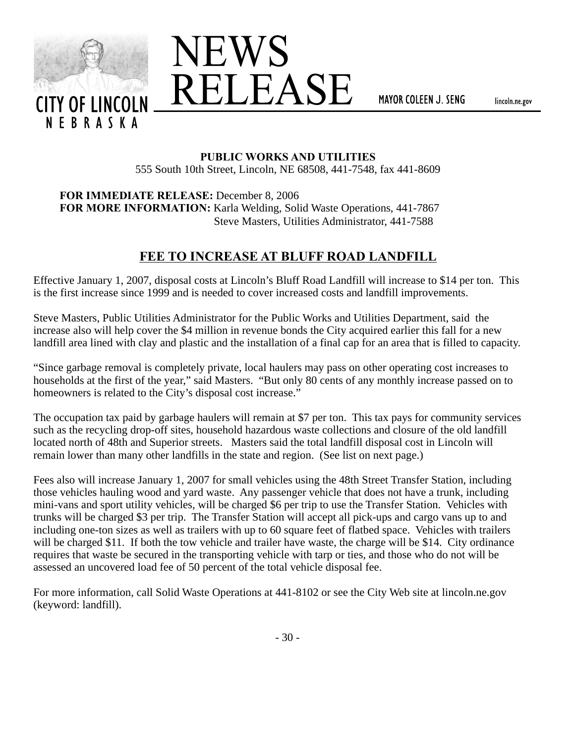



MAYOR COLEEN J. SENG

lincoln.ne.gov

#### **PUBLIC WORKS AND UTILITIES**

555 South 10th Street, Lincoln, NE 68508, 441-7548, fax 441-8609

**FOR IMMEDIATE RELEASE:** December 8, 2006 **FOR MORE INFORMATION:** Karla Welding, Solid Waste Operations, 441-7867 Steve Masters, Utilities Administrator, 441-7588

# **FEE TO INCREASE AT BLUFF ROAD LANDFILL**

Effective January 1, 2007, disposal costs at Lincoln's Bluff Road Landfill will increase to \$14 per ton. This is the first increase since 1999 and is needed to cover increased costs and landfill improvements.

Steve Masters, Public Utilities Administrator for the Public Works and Utilities Department, said the increase also will help cover the \$4 million in revenue bonds the City acquired earlier this fall for a new landfill area lined with clay and plastic and the installation of a final cap for an area that is filled to capacity.

"Since garbage removal is completely private, local haulers may pass on other operating cost increases to households at the first of the year," said Masters. "But only 80 cents of any monthly increase passed on to homeowners is related to the City's disposal cost increase."

The occupation tax paid by garbage haulers will remain at \$7 per ton. This tax pays for community services such as the recycling drop-off sites, household hazardous waste collections and closure of the old landfill located north of 48th and Superior streets. Masters said the total landfill disposal cost in Lincoln will remain lower than many other landfills in the state and region. (See list on next page.)

Fees also will increase January 1, 2007 for small vehicles using the 48th Street Transfer Station, including those vehicles hauling wood and yard waste. Any passenger vehicle that does not have a trunk, including mini-vans and sport utility vehicles, will be charged \$6 per trip to use the Transfer Station. Vehicles with trunks will be charged \$3 per trip. The Transfer Station will accept all pick-ups and cargo vans up to and including one-ton sizes as well as trailers with up to 60 square feet of flatbed space. Vehicles with trailers will be charged \$11. If both the tow vehicle and trailer have waste, the charge will be \$14. City ordinance requires that waste be secured in the transporting vehicle with tarp or ties, and those who do not will be assessed an uncovered load fee of 50 percent of the total vehicle disposal fee.

For more information, call Solid Waste Operations at 441-8102 or see the City Web site at lincoln.ne.gov (keyword: landfill).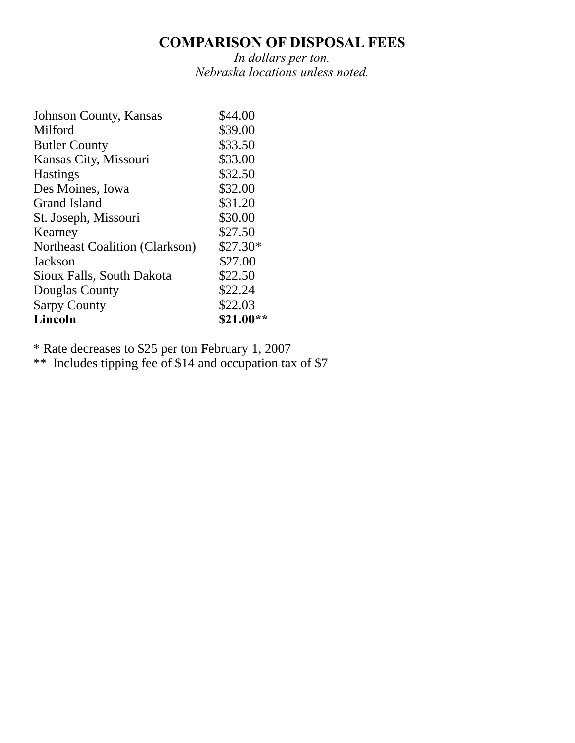# **COMPARISON OF DISPOSAL FEES**

*In dollars per ton. Nebraska locations unless noted.*

| \$44.00   |
|-----------|
| \$39.00   |
| \$33.50   |
| \$33.00   |
| \$32.50   |
| \$32.00   |
| \$31.20   |
| \$30.00   |
| \$27.50   |
| $$27.30*$ |
| \$27.00   |
| \$22.50   |
| \$22.24   |
| \$22.03   |
| \$21.00** |
|           |

\* Rate decreases to \$25 per ton February 1, 2007

\*\* Includes tipping fee of \$14 and occupation tax of \$7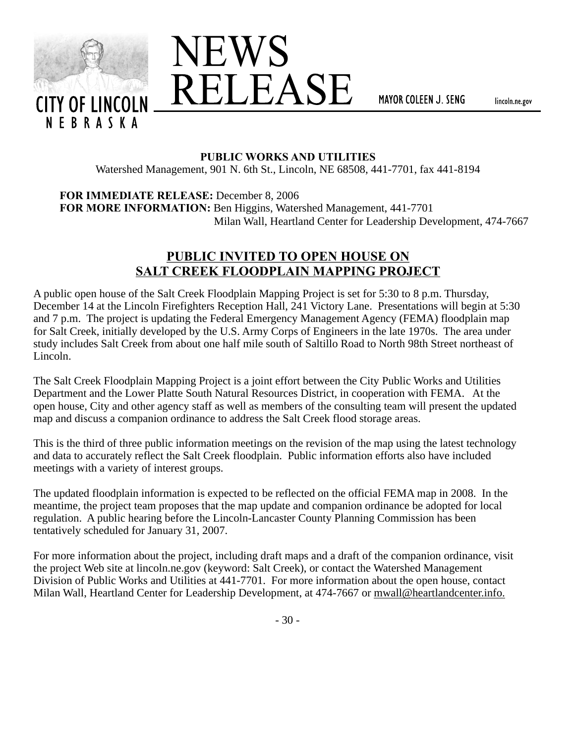



MAYOR COLEEN J. SENG

lincoln.ne.gov

#### **PUBLIC WORKS AND UTILITIES**

Watershed Management, 901 N. 6th St., Lincoln, NE 68508, 441-7701, fax 441-8194

**FOR IMMEDIATE RELEASE:** December 8, 2006

**FOR MORE INFORMATION:** Ben Higgins, Watershed Management, 441-7701 Milan Wall, Heartland Center for Leadership Development, 474-7667

# **PUBLIC INVITED TO OPEN HOUSE ON SALT CREEK FLOODPLAIN MAPPING PROJECT**

A public open house of the Salt Creek Floodplain Mapping Project is set for 5:30 to 8 p.m. Thursday, December 14 at the Lincoln Firefighters Reception Hall, 241 Victory Lane. Presentations will begin at 5:30 and 7 p.m. The project is updating the Federal Emergency Management Agency (FEMA) floodplain map for Salt Creek, initially developed by the U.S. Army Corps of Engineers in the late 1970s. The area under study includes Salt Creek from about one half mile south of Saltillo Road to North 98th Street northeast of Lincoln.

The Salt Creek Floodplain Mapping Project is a joint effort between the City Public Works and Utilities Department and the Lower Platte South Natural Resources District, in cooperation with FEMA. At the open house, City and other agency staff as well as members of the consulting team will present the updated map and discuss a companion ordinance to address the Salt Creek flood storage areas.

This is the third of three public information meetings on the revision of the map using the latest technology and data to accurately reflect the Salt Creek floodplain. Public information efforts also have included meetings with a variety of interest groups.

The updated floodplain information is expected to be reflected on the official FEMA map in 2008. In the meantime, the project team proposes that the map update and companion ordinance be adopted for local regulation. A public hearing before the Lincoln-Lancaster County Planning Commission has been tentatively scheduled for January 31, 2007.

For more information about the project, including draft maps and a draft of the companion ordinance, visit the project Web site at lincoln.ne.gov (keyword: Salt Creek), or contact the Watershed Management Division of Public Works and Utilities at 441-7701. For more information about the open house, contact Milan Wall, Heartland Center for Leadership Development, at 474-7667 or mwall@heartlandcenter.info.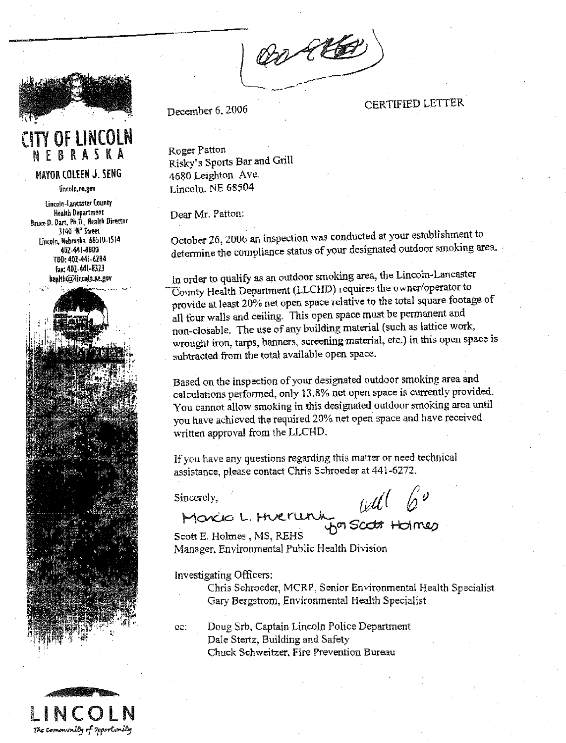Or le



# **CITY OF LINCOLN** NEBRASKA

#### **MAYOR COLEEN J. SENG**

lincoln.ne.gov

Lincoln-Lancaster County **Health Department** Bruce D. Dart, Ph.D., Health Director 3140 "N" Street Lincoln, Nebraska 68510-1514 402-441-8000 TDD: 402-441-6284 fag: 402-441-8323 heuth@lincoln.ne.gov



December 6, 2006

**CERTIFIED LETTER** 

Roger Patton Risky's Sports Bar and Grill 4680 Leighton Ave. Lincoln. NE 68504

Dear Mr. Patton:

October 26, 2006 an inspection was conducted at your establishment to determine the compliance status of your designated outdoor smoking area.

In order to qualify as an outdoor smoking area, the Lincoln-Lancaster County Health Department (LLCHD) requires the owner/operator to provide at least 20% net open space relative to the total square footage of all four walls and ceiling. This open space must be permanent and non-closable. The use of any building material (such as lattice work, wrought iron, tarps, banners, screening material, etc.) in this open space is subtracted from the total available open space.

Based on the inspection of your designated outdoor smoking area and calculations performed, only 13.8% net open space is currently provided. You cannot allow smoking in this designated outdoor smoking area until you have achieved the required 20% net open space and have received written approval from the LLCHD.

If you have any questions regarding this matter or need technical assistance, please contact Chris Schroeder at 441-6272.

Sincerely,

will b<sup>'</sup><br>Son scato Holmes

Maxio L. Huerurk

Scott E. Holmes, MS, REHS Manager, Environmental Public Health Division

**Investigating Officers:** 

Chris Schroeder, MCRP, Senior Environmental Health Specialist Gary Bergstrom, Environmental Health Specialist

Doug Srb, Captain Lincoln Police Department ec: Dale Stertz, Building and Safety Chuck Schweitzer, Fire Prevention Bureau

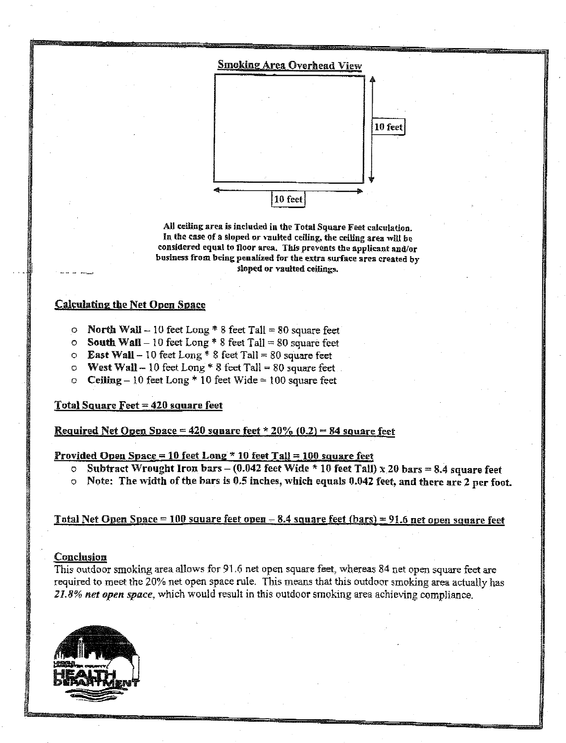

All ceiling area is included in the Total Square Feet calculation. In the case of a sloped or vaulted ceiling, the ceiling area will be considered equal to floor area. This prevents the applicant and/or business from being penalized for the extra surface area created by sloped or vaulted ceilings.

#### **Calculating the Net Open Space**

- O North Wall 10 feet Long  $* 8$  feet Tall = 80 square feet
- **O** South Wall 10 feet Long \* 8 feet Tall = 80 square feet
- **C** East Wall 10 feet Long  $*$  8 feet Tall = 80 square feet
- O West Wall 10 feet Long \* 8 feet Tall = 80 square feet.
- O Ceiling 10 feet Long \* 10 feet Wide  $\simeq$  100 square feet

#### <u>**Total Square Feet = 420 square feet**</u>

<u> Required Net Open Space = 420 square feet \* 20% (0.2) = 84 square feet</u>

#### <u> Provided Open Space = 10 feet Long \* 10 feet Tall = 100 square feet</u>

- **O** Subtract Wrought Iron bars (0.042 feet Wide  $*$  10 feet Tall) x 20 bars = 8.4 square feet
- o Note: The width of the bars is 0.5 inches, which equals 0.042 feet, and there are 2 per foot.

#### Total Net Open Space = 100 square feet open  $-8.4$  square feet (bars) = 91.6 net open square feet

#### Conclusion

This outdoor smoking area allows for 91.6 net open square feet, whereas 84 net open square feet are required to meet the 20% net open space rule. This means that this outdoor smoking area actually has 21.8% net open space, which would result in this outdoor smoking area achieving compliance.